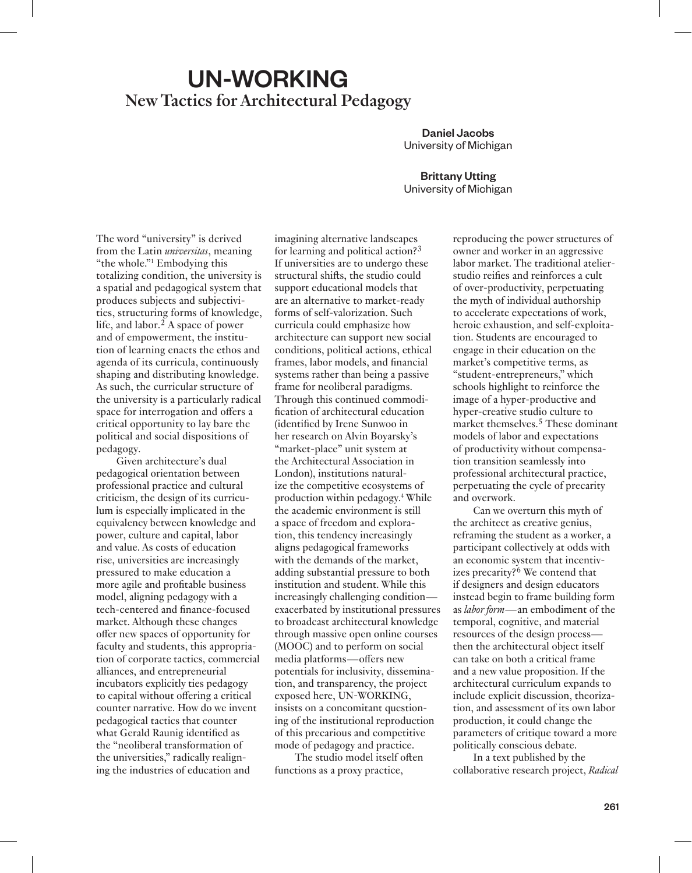# UN-WORKING **New Tactics for Architectural Pedagogy**

Daniel Jacobs University of Michigan

Brittany Utting University of Michigan

The word "university" is derived from the Latin *universitas*, meaning "the whole."<sup>1</sup> Embodying this totalizing condition, the university is a spatial and pedagogical system that produces subjects and subjectivities, structuring forms of knowledge, life, and labor.<sup>2</sup> A space of power and of empowerment, the institution of learning enacts the ethos and agenda of its curricula, continuously shaping and distributing knowledge. As such, the curricular structure of the university is a particularly radical space for interrogation and offers a critical opportunity to lay bare the political and social dispositions of pedagogy.

Given architecture's dual pedagogical orientation between professional practice and cultural criticism, the design of its curriculum is especially implicated in the equivalency between knowledge and power, culture and capital, labor and value. As costs of education rise, universities are increasingly pressured to make education a more agile and profitable business model, aligning pedagogy with a tech-centered and finance-focused market. Although these changes offer new spaces of opportunity for faculty and students, this appropriation of corporate tactics, commercial alliances, and entrepreneurial incubators explicitly ties pedagogy to capital without offering a critical counter narrative. How do we invent pedagogical tactics that counter what Gerald Raunig identified as the "neoliberal transformation of the universities," radically realigning the industries of education and

imagining alternative landscapes for learning and political action?3 If universities are to undergo these structural shifts, the studio could support educational models that are an alternative to market-ready forms of self-valorization. Such curricula could emphasize how architecture can support new social conditions, political actions, ethical frames, labor models, and financial systems rather than being a passive frame for neoliberal paradigms. Through this continued commodification of architectural education (identified by Irene Sunwoo in her research on Alvin Boyarsky's "market-place" unit system at the Architectural Association in London), institutions naturalize the competitive ecosystems of production within pedagogy.4 While the academic environment is still a space of freedom and exploration, this tendency increasingly aligns pedagogical frameworks with the demands of the market, adding substantial pressure to both institution and student. While this increasingly challenging condition exacerbated by institutional pressures to broadcast architectural knowledge through massive open online courses (MOOC) and to perform on social media platforms—offers new potentials for inclusivity, dissemination, and transparency, the project exposed here, UN-WORKING, insists on a concomitant questioning of the institutional reproduction of this precarious and competitive mode of pedagogy and practice.

The studio model itself often functions as a proxy practice,

reproducing the power structures of owner and worker in an aggressive labor market. The traditional atelierstudio reifies and reinforces a cult of over-productivity, perpetuating the myth of individual authorship to accelerate expectations of work, heroic exhaustion, and self-exploitation. Students are encouraged to engage in their education on the market's competitive terms, as "student-entrepreneurs," which schools highlight to reinforce the image of a hyper-productive and hyper-creative studio culture to market themselves.<sup>5</sup> These dominant models of labor and expectations of productivity without compensation transition seamlessly into professional architectural practice, perpetuating the cycle of precarity and overwork.

Can we overturn this myth of the architect as creative genius, reframing the student as a worker, a participant collectively at odds with an economic system that incentivizes precarity?6 We contend that if designers and design educators instead begin to frame building form as *labor form*—an embodiment of the temporal, cognitive, and material resources of the design process then the architectural object itself can take on both a critical frame and a new value proposition. If the architectural curriculum expands to include explicit discussion, theorization, and assessment of its own labor production, it could change the parameters of critique toward a more politically conscious debate.

In a text published by the collaborative research project, *Radical*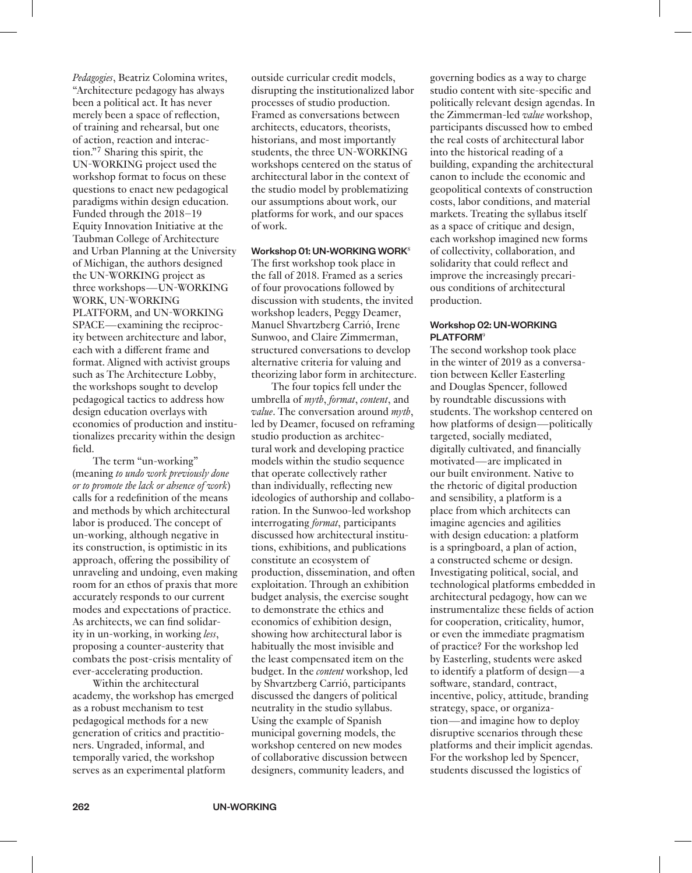*Pedagogies*, Beatriz Colomina writes, "Architecture pedagogy has always been a political act. It has never merely been a space of reflection, of training and rehearsal, but one of action, reaction and interaction."7 Sharing this spirit, the UN-WORKING project used the workshop format to focus on these questions to enact new pedagogical paradigms within design education. Funded through the 2018–19 Equity Innovation Initiative at the Taubman College of Architecture and Urban Planning at the University of Michigan, the authors designed the UN-WORKING project as three workshops—UN-WORKING WORK, UN-WORKING PLATFORM, and UN-WORKING SPACE—examining the reciprocity between architecture and labor, each with a different frame and format. Aligned with activist groups such as The Architecture Lobby, the workshops sought to develop pedagogical tactics to address how design education overlays with economies of production and institutionalizes precarity within the design field.

The term "un-working" (meaning *to undo work previously done or to promote the lack or absence of work*) calls for a redefinition of the means and methods by which architectural labor is produced. The concept of un-working, although negative in its construction, is optimistic in its approach, offering the possibility of unraveling and undoing, even making room for an ethos of praxis that more accurately responds to our current modes and expectations of practice. As architects, we can find solidarity in un-working, in working *less*, proposing a counter-austerity that combats the post-crisis mentality of ever-accelerating production.

Within the architectural academy, the workshop has emerged as a robust mechanism to test pedagogical methods for a new generation of critics and practitioners. Ungraded, informal, and temporally varied, the workshop serves as an experimental platform

outside curricular credit models, disrupting the institutionalized labor processes of studio production. Framed as conversations between architects, educators, theorists, historians, and most importantly students, the three UN-WORKING workshops centered on the status of architectural labor in the context of the studio model by problematizing our assumptions about work, our platforms for work, and our spaces of work.

## Workshop 01: UN-WORKING WORK<sup>8</sup>

The first workshop took place in the fall of 2018. Framed as a series of four provocations followed by discussion with students, the invited workshop leaders, Peggy Deamer, Manuel Shvartzberg Carrió, Irene Sunwoo, and Claire Zimmerman, structured conversations to develop alternative criteria for valuing and theorizing labor form in architecture.

The four topics fell under the umbrella of *myth*, *format*, *content*, and *value*. The conversation around *myth*, led by Deamer, focused on reframing studio production as architectural work and developing practice models within the studio sequence that operate collectively rather than individually, reflecting new ideologies of authorship and collaboration. In the Sunwoo-led workshop interrogating *format*, participants discussed how architectural institutions, exhibitions, and publications constitute an ecosystem of production, dissemination, and often exploitation. Through an exhibition budget analysis, the exercise sought to demonstrate the ethics and economics of exhibition design, showing how architectural labor is habitually the most invisible and the least compensated item on the budget. In the *content* workshop, led by Shvartzberg Carrió, participants discussed the dangers of political neutrality in the studio syllabus. Using the example of Spanish municipal governing models, the workshop centered on new modes of collaborative discussion between designers, community leaders, and

governing bodies as a way to charge studio content with site-specific and politically relevant design agendas. In the Zimmerman-led *value* workshop, participants discussed how to embed the real costs of architectural labor into the historical reading of a building, expanding the architectural canon to include the economic and geopolitical contexts of construction costs, labor conditions, and material markets. Treating the syllabus itself as a space of critique and design, each workshop imagined new forms of collectivity, collaboration, and solidarity that could reflect and improve the increasingly precarious conditions of architectural production.

## Workshop 02: UN-WORKING PLATFORM<sup>9</sup>

The second workshop took place in the winter of 2019 as a conversation between Keller Easterling and Douglas Spencer, followed by roundtable discussions with students. The workshop centered on how platforms of design—politically targeted, socially mediated, digitally cultivated, and financially motivated—are implicated in our built environment. Native to the rhetoric of digital production and sensibility, a platform is a place from which architects can imagine agencies and agilities with design education: a platform is a springboard, a plan of action, a constructed scheme or design. Investigating political, social, and technological platforms embedded in architectural pedagogy, how can we instrumentalize these fields of action for cooperation, criticality, humor, or even the immediate pragmatism of practice? For the workshop led by Easterling, students were asked to identify a platform of design—a software, standard, contract, incentive, policy, attitude, branding strategy, space, or organization—and imagine how to deploy disruptive scenarios through these platforms and their implicit agendas. For the workshop led by Spencer, students discussed the logistics of